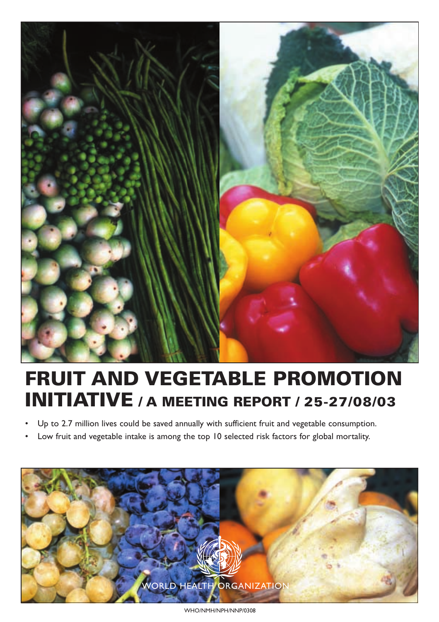

# **FRUIT AND VEGETABLE PROMOTION INITIATIVE / A MEETING REPORT / 25-27/08/03**

- Up to 2.7 million lives could be saved annually with sufficient fruit and vegetable consumption.
- Low fruit and vegetable intake is among the top 10 selected risk factors for global mortality.



WHO/NMH/NPH/NNP/0308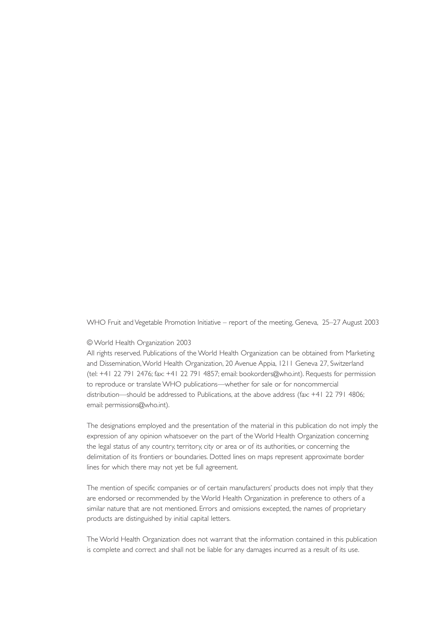WHO Fruit and Vegetable Promotion Initiative – report of the meeting, Geneva, 25–27 August 2003

#### © World Health Organization 2003

All rights reserved. Publications of the World Health Organization can be obtained from Marketing and Dissemination,World Health Organization, 20 Avenue Appia, 1211 Geneva 27, Switzerland (tel: +41 22 791 2476; fax: +41 22 791 4857; email: bookorders@who.int). Requests for permission to reproduce or translate WHO publications—whether for sale or for noncommercial distribution—should be addressed to Publications, at the above address (fax: +41 22 791 4806; email: permissions@who.int).

The designations employed and the presentation of the material in this publication do not imply the expression of any opinion whatsoever on the part of the World Health Organization concerning the legal status of any country, territory, city or area or of its authorities, or concerning the delimitation of its frontiers or boundaries. Dotted lines on maps represent approximate border lines for which there may not yet be full agreement.

The mention of specific companies or of certain manufacturers' products does not imply that they are endorsed or recommended by the World Health Organization in preference to others of a similar nature that are not mentioned. Errors and omissions excepted, the names of proprietary products are distinguished by initial capital letters.

The World Health Organization does not warrant that the information contained in this publication is complete and correct and shall not be liable for any damages incurred as a result of its use.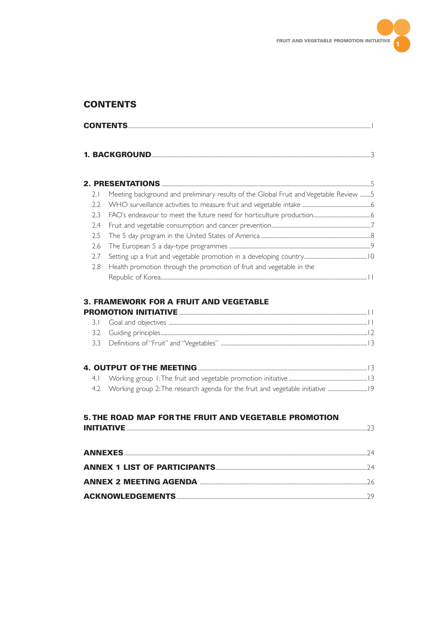

# **CONTENTS**

| <b>CONTENTS</b> |  |
|-----------------|--|
|                 |  |

|     | Meeting background and preliminary results of the Global Fruit and Vegetable Review 5 |
|-----|---------------------------------------------------------------------------------------|
|     |                                                                                       |
|     |                                                                                       |
|     |                                                                                       |
|     |                                                                                       |
|     |                                                                                       |
| 2.7 |                                                                                       |
|     | 2.8 Health promotion through the promotion of fruit and vegetable in the              |
|     |                                                                                       |

# **3. FRAMEWORK FOR A FRUIT AND VEGETABLE**

|  | 4.2 Working group 2: The research agenda for the fruit and vegetable initiative  19 |  |
|--|-------------------------------------------------------------------------------------|--|

# 5. THE ROAD MAP FOR THE FRUIT AND VEGETABLE PROMOTION

| 74        |
|-----------|
| <u>ว4</u> |
| 26        |
|           |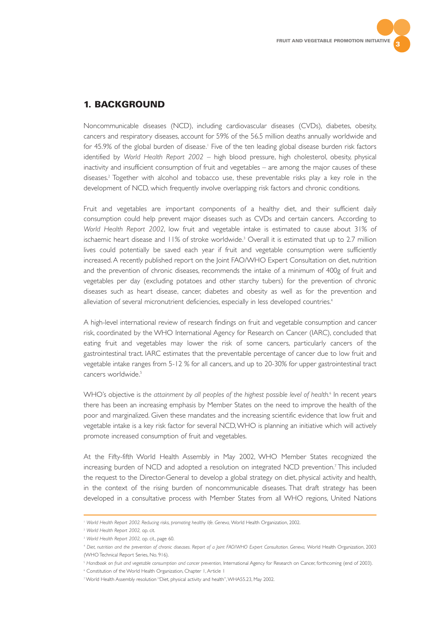

# **1. BACKGROUND**

Noncommunicable diseases (NCD), including cardiovascular diseases (CVDs), diabetes, obesity, cancers and respiratory diseases, account for 59% of the 56.5 million deaths annually worldwide and for 45.9% of the global burden of disease.<sup>1</sup> Five of the ten leading global disease burden risk factors identified by *World Health Report 2002* – high blood pressure, high cholesterol, obesity, physical inactivity and insufficient consumption of fruit and vegetables – are among the major causes of these diseases.2 Together with alcohol and tobacco use, these preventable risks play a key role in the development of NCD, which frequently involve overlapping risk factors and chronic conditions.

Fruit and vegetables are important components of a healthy diet, and their sufficient daily consumption could help prevent major diseases such as CVDs and certain cancers. According to *World Health Report 2002*, low fruit and vegetable intake is estimated to cause about 31% of ischaemic heart disease and 11% of stroke worldwide.<sup>3</sup> Overall it is estimated that up to 2.7 million lives could potentially be saved each year if fruit and vegetable consumption were sufficiently increased.A recently published report on the Joint FAO/WHO Expert Consultation on diet, nutrition and the prevention of chronic diseases, recommends the intake of a minimum of 400g of fruit and vegetables per day (excluding potatoes and other starchy tubers) for the prevention of chronic diseases such as heart disease, cancer, diabetes and obesity as well as for the prevention and alleviation of several micronutrient deficiencies, especially in less developed countries.<sup>4</sup>

A high-level international review of research findings on fruit and vegetable consumption and cancer risk, coordinated by the WHO International Agency for Research on Cancer (IARC), concluded that eating fruit and vegetables may lower the risk of some cancers, particularly cancers of the gastrointestinal tract. IARC estimates that the preventable percentage of cancer due to low fruit and vegetable intake ranges from 5-12 % for all cancers, and up to 20-30% for upper gastrointestinal tract cancers worldwide.5

WHO's objective is the attainment by all peoples of the highest possible level of health.<sup>6</sup> In recent years there has been an increasing emphasis by Member States on the need to improve the health of the poor and marginalized. Given these mandates and the increasing scientific evidence that low fruit and vegetable intake is a key risk factor for several NCD,WHO is planning an initiative which will actively promote increased consumption of fruit and vegetables.

At the Fifty-fifth World Health Assembly in May 2002, WHO Member States recognized the increasing burden of NCD and adopted a resolution on integrated NCD prevention.7 This included the request to the Director-General to develop a global strategy on diet, physical activity and health, in the context of the rising burden of noncommunicable diseases. That draft strategy has been developed in a consultative process with Member States from all WHO regions, United Nations

<sup>1</sup> *World Health Report 2002. Reducing risks, promoting healthy life. Geneva,* World Health Organization, 2002.

<sup>2</sup> *World Health Report 2002,* op. cit.

<sup>3</sup> *World Health Report 2002,* op. cit., page 60.

<sup>4</sup> *Diet, nutrition and the prevention of chronic diseases. Report of a Joint FAO/WHO Expert Consultation. Geneva,* World Health Organization, 2003 (WHO Technical Report Series, No. 916).

<sup>5</sup> *Handbook on fruit and vegetable consumption and cancer prevention,* International Agency for Research on Cancer, forthcoming (end of 2003).

<sup>&</sup>lt;sup>6</sup> Constitution of the World Health Organization, Chapter 1, Article 1

<sup>7</sup> World Health Assembly resolution "Diet, physical activity and health",WHA55.23, May 2002.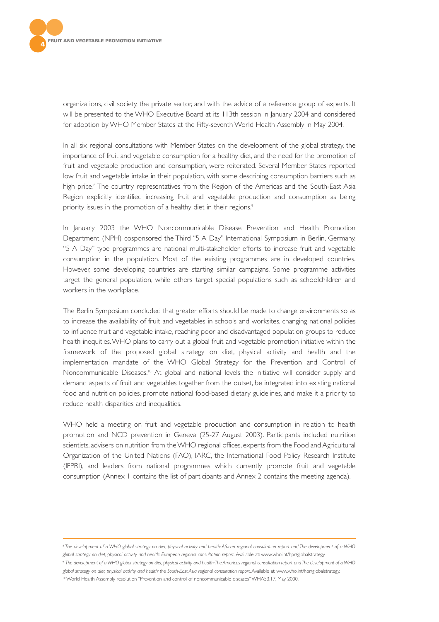

organizations, civil society, the private sector, and with the advice of a reference group of experts. It will be presented to the WHO Executive Board at its 113th session in January 2004 and considered for adoption by WHO Member States at the Fifty-seventh World Health Assembly in May 2004.

In all six regional consultations with Member States on the development of the global strategy, the importance of fruit and vegetable consumption for a healthy diet, and the need for the promotion of fruit and vegetable production and consumption, were reiterated. Several Member States reported low fruit and vegetable intake in their population, with some describing consumption barriers such as high price.<sup>8</sup> The country representatives from the Region of the Americas and the South-East Asia Region explicitly identified increasing fruit and vegetable production and consumption as being priority issues in the promotion of a healthy diet in their regions.<sup>9</sup>

In January 2003 the WHO Noncommunicable Disease Prevention and Health Promotion Department (NPH) cosponsored the Third "5 A Day" International Symposium in Berlin, Germany. "5 A Day" type programmes are national multi-stakeholder efforts to increase fruit and vegetable consumption in the population. Most of the existing programmes are in developed countries. However, some developing countries are starting similar campaigns. Some programme activities target the general population, while others target special populations such as schoolchildren and workers in the workplace.

The Berlin Symposium concluded that greater efforts should be made to change environments so as to increase the availability of fruit and vegetables in schools and worksites, changing national policies to influence fruit and vegetable intake, reaching poor and disadvantaged population groups to reduce health inequities.WHO plans to carry out a global fruit and vegetable promotion initiative within the framework of the proposed global strategy on diet, physical activity and health and the implementation mandate of the WHO Global Strategy for the Prevention and Control of Noncommunicable Diseases.<sup>10</sup> At global and national levels the initiative will consider supply and demand aspects of fruit and vegetables together from the outset, be integrated into existing national food and nutrition policies, promote national food-based dietary guidelines, and make it a priority to reduce health disparities and inequalities.

WHO held a meeting on fruit and vegetable production and consumption in relation to health promotion and NCD prevention in Geneva (25-27 August 2003). Participants included nutrition scientists, advisers on nutrition from the WHO regional offices, experts from the Food and Agricultural Organization of the United Nations (FAO), IARC, the International Food Policy Research Institute (IFPRI), and leaders from national programmes which currently promote fruit and vegetable consumption (Annex 1 contains the list of participants and Annex 2 contains the meeting agenda).

<sup>8</sup> *The development of a WHO global strategy on diet, physical activity and health: African regional consultation report and The development of a WHO global strategy on diet, physical activity and health: European regional consultation report.* Available at: www.who.int/hpr/globalstrategy.

<sup>9</sup> *The development of a WHO global strategy on diet, physical activity and health:The Americas regional consultation report and The development of a WHO global strategy on diet, physical activity and health: the South-East Asia regional consultation report*. Available at: www.who.int/hpr/globalstrategy.

<sup>10</sup> World Health Assembly resolution "Prevention and control of noncommunicable diseases"WHA53.17, May 2000.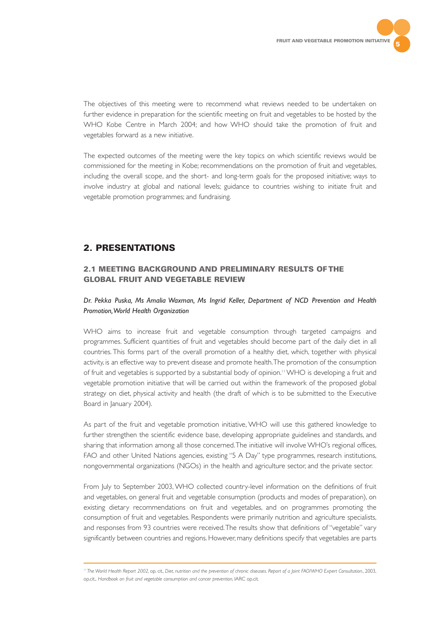

The objectives of this meeting were to recommend what reviews needed to be undertaken on further evidence in preparation for the scientific meeting on fruit and vegetables to be hosted by the WHO Kobe Centre in March 2004; and how WHO should take the promotion of fruit and vegetables forward as a new initiative.

The expected outcomes of the meeting were the key topics on which scientific reviews would be commissioned for the meeting in Kobe; recommendations on the promotion of fruit and vegetables, including the overall scope, and the short- and long-term goals for the proposed initiative; ways to involve industry at global and national levels; guidance to countries wishing to initiate fruit and vegetable promotion programmes; and fundraising.

# **2. PRESENTATIONS**

# **2.1 MEETING BACKGROUND AND PRELIMINARY RESULTS OF THE GLOBAL FRUIT AND VEGETABLE REVIEW**

# *Dr. Pekka Puska, Ms Amalia Waxman, Ms Ingrid Keller, Department of NCD Prevention and Health Promotion,World Health Organization*

WHO aims to increase fruit and vegetable consumption through targeted campaigns and programmes. Sufficient quantities of fruit and vegetables should become part of the daily diet in all countries. This forms part of the overall promotion of a healthy diet, which, together with physical activity, is an effective way to prevent disease and promote health.The promotion of the consumption of fruit and vegetables is supported by a substantial body of opinion.<sup>11</sup> WHO is developing a fruit and vegetable promotion initiative that will be carried out within the framework of the proposed global strategy on diet, physical activity and health (the draft of which is to be submitted to the Executive Board in January 2004).

As part of the fruit and vegetable promotion initiative, WHO will use this gathered knowledge to further strengthen the scientific evidence base, developing appropriate guidelines and standards, and sharing that information among all those concerned.The initiative will involve WHO's regional offices, FAO and other United Nations agencies, existing "5 A Day" type programmes, research institutions, nongovernmental organizations (NGOs) in the health and agriculture sector, and the private sector.

From July to September 2003, WHO collected country-level information on the definitions of fruit and vegetables, on general fruit and vegetable consumption (products and modes of preparation), on existing dietary recommendations on fruit and vegetables, and on programmes promoting the consumption of fruit and vegetables. Respondents were primarily nutrition and agriculture specialists, and responses from 93 countries were received.The results show that definitions of "vegetable" vary significantly between countries and regions. However, many definitions specify that vegetables are parts

<sup>11</sup> *The World Health Report 2002,* op. cit.*, Diet, nutrition and the prevention of chronic diseases. Report of a Joint FAO/WHO Expert Consultation.,* 2003, op.cit., *Handbook on fruit and vegetable consumption and cancer prevention,* IARC op.cit.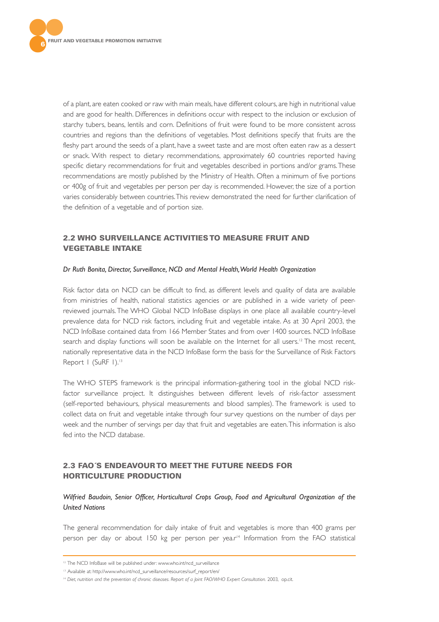

of a plant, are eaten cooked or raw with main meals, have different colours, are high in nutritional value and are good for health. Differences in definitions occur with respect to the inclusion or exclusion of starchy tubers, beans, lentils and corn. Definitions of fruit were found to be more consistent across countries and regions than the definitions of vegetables. Most definitions specify that fruits are the fleshy part around the seeds of a plant, have a sweet taste and are most often eaten raw as a dessert or snack. With respect to dietary recommendations, approximately 60 countries reported having specific dietary recommendations for fruit and vegetables described in portions and/or grams.These recommendations are mostly published by the Ministry of Health. Often a minimum of five portions or 400g of fruit and vegetables per person per day is recommended. However, the size of a portion varies considerably between countries.This review demonstrated the need for further clarification of the definition of a vegetable and of portion size.

# **2.2 WHO SURVEILLANCE ACTIVITIES TO MEASURE FRUIT AND VEGETABLE INTAKE**

#### *Dr Ruth Bonita, Director, Surveillance, NCD and Mental Health,World Health Organization*

Risk factor data on NCD can be difficult to find, as different levels and quality of data are available from ministries of health, national statistics agencies or are published in a wide variety of peerreviewed journals. The WHO Global NCD InfoBase displays in one place all available country-level prevalence data for NCD risk factors, including fruit and vegetable intake. As at 30 April 2003, the NCD InfoBase contained data from 166 Member States and from over 1400 sources. NCD InfoBase search and display functions will soon be available on the Internet for all users.<sup>12</sup> The most recent, nationally representative data in the NCD InfoBase form the basis for the Surveillance of Risk Factors Report | (SuRF 1).<sup>13</sup>

The WHO STEPS framework is the principal information-gathering tool in the global NCD riskfactor surveillance project. It distinguishes between different levels of risk-factor assessment (self-reported behaviours, physical measurements and blood samples). The framework is used to collect data on fruit and vegetable intake through four survey questions on the number of days per week and the number of servings per day that fruit and vegetables are eaten.This information is also fed into the NCD database.

# **2.3 FAO´S ENDEAVOUR TO MEET THE FUTURE NEEDS FOR HORTICULTURE PRODUCTION**

# *Wilfried Baudoin, Senior Officer, Horticultural Crops Group, Food and Agricultural Organization of the United Nations*

The general recommendation for daily intake of fruit and vegetables is more than 400 grams per person per day or about 150 kg per person per yea.r<sup>14</sup> Information from the FAO statistical

<sup>&</sup>lt;sup>12</sup> The NCD InfoBase will be published under: www.who.int/ncd\_surveillance

<sup>&</sup>lt;sup>13</sup> Available at: http://www.who.int/ncd\_surveillance/resources/surf\_report/en/

<sup>14</sup> *Diet, nutrition and the prevention of chronic diseases. Report of a Joint FAO/WHO Expert Consultation.* 2003, op.cit.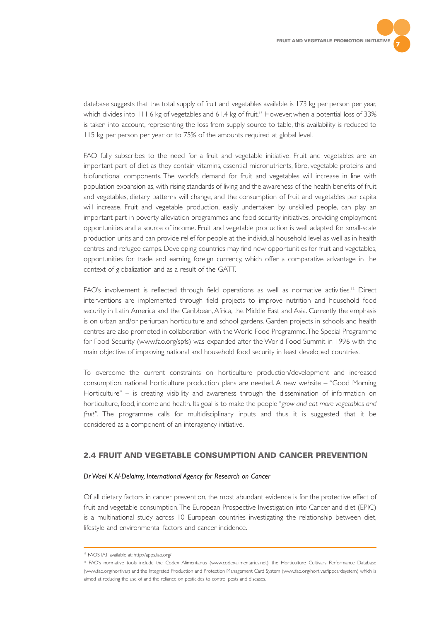

database suggests that the total supply of fruit and vegetables available is 173 kg per person per year, which divides into 111.6 kg of vegetables and 61.4 kg of fruit.<sup>15</sup> However, when a potential loss of 33% is taken into account, representing the loss from supply source to table, this availability is reduced to 115 kg per person per year or to 75% of the amounts required at global level.

FAO fully subscribes to the need for a fruit and vegetable initiative. Fruit and vegetables are an important part of diet as they contain vitamins, essential micronutrients, fibre, vegetable proteins and biofunctional components. The world's demand for fruit and vegetables will increase in line with population expansion as, with rising standards of living and the awareness of the health benefits of fruit and vegetables, dietary patterns will change, and the consumption of fruit and vegetables per capita will increase. Fruit and vegetable production, easily undertaken by unskilled people, can play an important part in poverty alleviation programmes and food security initiatives, providing employment opportunities and a source of income. Fruit and vegetable production is well adapted for small-scale production units and can provide relief for people at the individual household level as well as in health centres and refugee camps. Developing countries may find new opportunities for fruit and vegetables, opportunities for trade and earning foreign currency, which offer a comparative advantage in the context of globalization and as a result of the GATT.

FAO's involvement is reflected through field operations as well as normative activities.<sup>16</sup> Direct interventions are implemented through field projects to improve nutrition and household food security in Latin America and the Caribbean, Africa, the Middle East and Asia. Currently the emphasis is on urban and/or periurban horticulture and school gardens. Garden projects in schools and health centres are also promoted in collaboration with the World Food Programme.The Special Programme for Food Security (www.fao.org/spfs) was expanded after the World Food Summit in 1996 with the main objective of improving national and household food security in least developed countries.

To overcome the current constraints on horticulture production/development and increased consumption, national horticulture production plans are needed. A new website – "Good Morning Horticulture" – is creating visibility and awareness through the dissemination of information on horticulture, food, income and health. Its goal is to make the people "*grow and eat more vegetables and fruit".* The programme calls for multidisciplinary inputs and thus it is suggested that it be considered as a component of an interagency initiative.

## **2.4 FRUIT AND VEGETABLE CONSUMPTION AND CANCER PREVENTION**

#### *Dr Wael K Al-Delaimy, International Agency for Research on Cancer*

Of all dietary factors in cancer prevention, the most abundant evidence is for the protective effect of fruit and vegetable consumption.The European Prospective Investigation into Cancer and diet (EPIC) is a multinational study across 10 European countries investigating the relationship between diet, lifestyle and environmental factors and cancer incidence.

<sup>15</sup> FAOSTAT available at: http://apps.fao.org/

<sup>16</sup> FAO's normative tools include the Codex Alimentarius (www.codexalimentarius.net), the Horticulture Cultivars Performance Database (www.fao.org/hortivar) and the Integrated Production and Protection Management Card System (www.fao.org/hortivar/ippcardsystem) which is aimed at reducing the use of and the reliance on pesticides to control pests and diseases.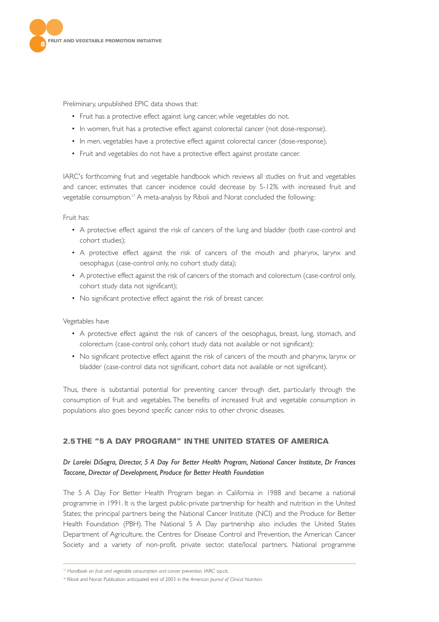

Preliminary, unpublished EPIC data shows that:

- Fruit has a protective effect against lung cancer, while vegetables do not.
- In women, fruit has a protective effect against colorectal cancer (not dose-response).
- In men, vegetables have a protective effect against colorectal cancer (dose-response).
- Fruit and vegetables do not have a protective effect against prostate cancer.

IARC's forthcoming fruit and vegetable handbook which reviews all studies on fruit and vegetables and cancer, estimates that cancer incidence could decrease by 5-12% with increased fruit and vegetable consumption.<sup>17</sup> A meta-analysis by Riboli and Norat concluded the following:

Fruit has:

- A protective effect against the risk of cancers of the lung and bladder (both case-control and cohort studies);
- A protective effect against the risk of cancers of the mouth and pharynx, larynx and oesophagus (case-control only, no cohort study data);
- A protective effect against the risk of cancers of the stomach and colorectum (case-control only, cohort study data not significant);
- No significant protective effect against the risk of breast cancer.

Vegetables have

- A protective effect against the risk of cancers of the oesophagus, breast, lung, stomach, and colorectum (case-control only, cohort study data not available or not significant);
- No significant protective effect against the risk of cancers of the mouth and pharynx, larynx or bladder (case-control data not significant, cohort data not available or not significant).

Thus, there is substantial potential for preventing cancer through diet, particularly through the consumption of fruit and vegetables. The benefits of increased fruit and vegetable consumption in populations also goes beyond specific cancer risks to other chronic diseases.

# **2.5 THE "5 A DAY PROGRAM" IN THE UNITED STATES OF AMERICA**

# *Dr Lorelei DiSogra, Director, 5 A Day For Better Health Program, National Cancer Institute, Dr Frances Taccone, Director of Development, Produce for Better Health Foundation*

The 5 A Day For Better Health Program began in California in 1988 and became a national programme in 1991. It is the largest public-private partnership for health and nutrition in the United States; the principal partners being the National Cancer Institute (NCI) and the Produce for Better Health Foundation (PBH). The National 5 A Day partnership also includes the United States Department of Agriculture, the Centres for Disease Control and Prevention, the American Cancer Society and a variety of non-profit, private sector, state/local partners. National programme

<sup>17</sup> *Handbook on fruit and vegetable consumption and cancer prevention,* IARC op.cit.

<sup>18</sup> Riboli and Norat: Publication anticipated end of 2003 in the *American Journal of Clinical Nutrition.*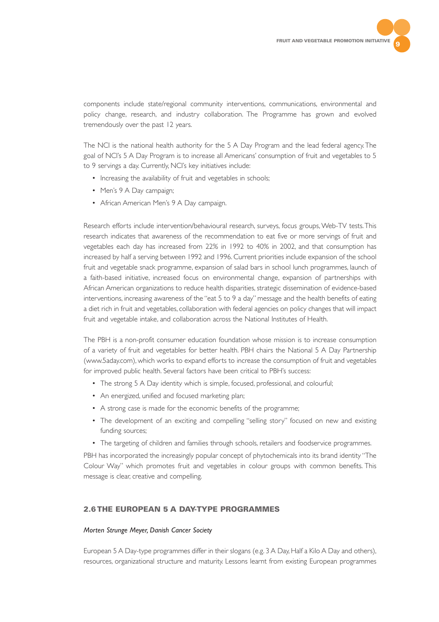

components include state/regional community interventions, communications, environmental and policy change, research, and industry collaboration. The Programme has grown and evolved tremendously over the past 12 years.

The NCI is the national health authority for the 5 A Day Program and the lead federal agency.The goal of NCI's 5 A Day Program is to increase all Americans' consumption of fruit and vegetables to 5 to 9 servings a day. Currently, NCI's key initiatives include:

- Increasing the availability of fruit and vegetables in schools;
- Men's 9 A Day campaign;
- African American Men's 9 A Day campaign.

Research efforts include intervention/behavioural research, surveys, focus groups, Web-TV tests.This research indicates that awareness of the recommendation to eat five or more servings of fruit and vegetables each day has increased from 22% in 1992 to 40% in 2002, and that consumption has increased by half a serving between 1992 and 1996. Current priorities include expansion of the school fruit and vegetable snack programme, expansion of salad bars in school lunch programmes, launch of a faith-based initiative, increased focus on environmental change, expansion of partnerships with African American organizations to reduce health disparities, strategic dissemination of evidence-based interventions, increasing awareness of the "eat 5 to 9 a day" message and the health benefits of eating a diet rich in fruit and vegetables, collaboration with federal agencies on policy changes that will impact fruit and vegetable intake, and collaboration across the National Institutes of Health.

The PBH is a non-profit consumer education foundation whose mission is to increase consumption of a variety of fruit and vegetables for better health. PBH chairs the National 5 A Day Partnership (www.5aday.com), which works to expand efforts to increase the consumption of fruit and vegetables for improved public health. Several factors have been critical to PBH's success:

- The strong 5 A Day identity which is simple, focused, professional, and colourful;
- An energized, unified and focused marketing plan;
- A strong case is made for the economic benefits of the programme;
- The development of an exciting and compelling "selling story" focused on new and existing funding sources;
- The targeting of children and families through schools, retailers and foodservice programmes.

PBH has incorporated the increasingly popular concept of phytochemicals into its brand identity "The Colour Way" which promotes fruit and vegetables in colour groups with common benefits. This message is clear, creative and compelling.

# **2.6 THE EUROPEAN 5 A DAY-TYPE PROGRAMMES**

### *Morten Strunge Meyer, Danish Cancer Society*

European 5 A Day-type programmes differ in their slogans (e.g. 3 A Day, Half a Kilo A Day and others), resources, organizational structure and maturity. Lessons learnt from existing European programmes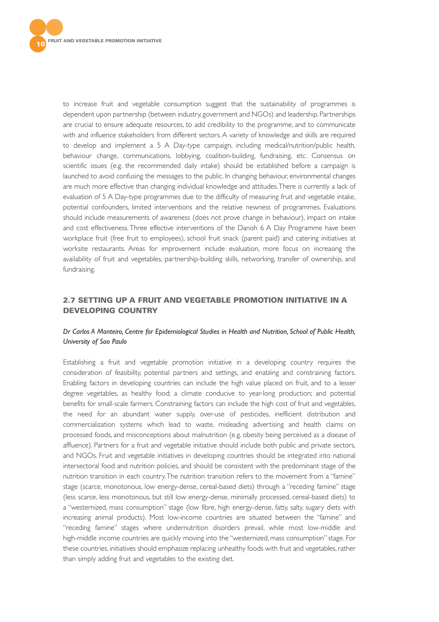

to increase fruit and vegetable consumption suggest that the sustainability of programmes is dependent upon partnership (between industry, government and NGOs) and leadership. Partnerships are crucial to ensure adequate resources, to add credibility to the programme, and to communicate with and influence stakeholders from different sectors. A variety of knowledge and skills are required to develop and implement a 5 A Day-type campaign, including medical/nutrition/public health, behaviour change, communications, lobbying, coalition-building, fundraising, etc. Consensus on scientific issues (e.g. the recommended daily intake) should be established before a campaign is launched to avoid confusing the messages to the public. In changing behaviour, environmental changes are much more effective than changing individual knowledge and attitudes.There is currently a lack of evaluation of 5 A Day-type programmes due to the difficulty of measuring fruit and vegetable intake, potential confounders, limited interventions and the relative newness of programmes. Evaluations should include measurements of awareness (does not prove change in behaviour), impact on intake and cost effectiveness. Three effective interventions of the Danish 6 A Day Programme have been workplace fruit (free fruit to employees), school fruit snack (parent paid) and catering initiatives at worksite restaurants. Areas for improvement include evaluation, more focus on increasing the availability of fruit and vegetables, partnership-building skills, networking, transfer of ownership, and fundraising.

# **2.7 SETTING UP A FRUIT AND VEGETABLE PROMOTION INITIATIVE IN A DEVELOPING COUNTRY**

# *Dr Carlos A Monteiro, Centre for Epidemiological Studies in Health and Nutrition, School of Public Health, University of Sao Paulo*

Establishing a fruit and vegetable promotion initiative in a developing country requires the consideration of feasibility, potential partners and settings, and enabling and constraining factors. Enabling factors in developing countries can include the high value placed on fruit, and to a lesser degree vegetables, as healthy food; a climate conducive to year-long production; and potential benefits for small-scale farmers. Constraining factors can include the high cost of fruit and vegetables, the need for an abundant water supply, over-use of pesticides, inefficient distribution and commercialization systems which lead to waste, misleading advertising and health claims on processed foods, and misconceptions about malnutrition (e.g. obesity being perceived as a disease of affluence). Partners for a fruit and vegetable initiative should include both public and private sectors, and NGOs. Fruit and vegetable initiatives in developing countries should be integrated into national intersectoral food and nutrition policies, and should be consistent with the predominant stage of the nutrition transition in each country.The nutrition transition refers to the movement from a "famine" stage (scarce, monotonous, low energy-dense, cereal-based diets) through a "receding famine" stage (less scarce, less monotonous, but still low energy-dense, minimally processed, cereal-based diets) to a "westernized, mass consumption" stage (low fibre, high energy-dense, fatty, salty, sugary diets with increasing animal products). Most low-income countries are situated between the "famine" and "receding famine" stages where undernutrition disorders prevail, while most low-middle and high-middle income countries are quickly moving into the "westernized, mass consumption" stage. For these countries, initiatives should emphasize replacing unhealthy foods with fruit and vegetables, rather than simply adding fruit and vegetables to the existing diet.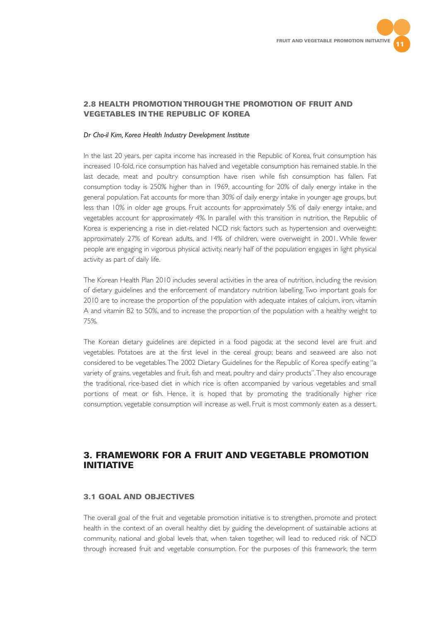

# **2.8 HEALTH PROMOTION THROUGH THE PROMOTION OF FRUIT AND VEGETABLES IN THE REPUBLIC OF KOREA**

#### *Dr Cho-il Kim, Korea Health Industry Development Institute*

In the last 20 years, per capita income has increased in the Republic of Korea, fruit consumption has increased 10-fold, rice consumption has halved and vegetable consumption has remained stable. In the last decade, meat and poultry consumption have risen while fish consumption has fallen. Fat consumption today is 250% higher than in 1969, accounting for 20% of daily energy intake in the general population. Fat accounts for more than 30% of daily energy intake in younger age groups, but less than 10% in older age groups. Fruit accounts for approximately 5% of daily energy intake, and vegetables account for approximately 4%. In parallel with this transition in nutrition, the Republic of Korea is experiencing a rise in diet-related NCD risk factors such as hypertension and overweight: approximately 27% of Korean adults, and 14% of children, were overweight in 2001. While fewer people are engaging in vigorous physical activity, nearly half of the population engages in light physical activity as part of daily life.

The Korean Health Plan 2010 includes several activities in the area of nutrition, including the revision of dietary guidelines and the enforcement of mandatory nutrition labelling.Two important goals for 2010 are to increase the proportion of the population with adequate intakes of calcium, iron, vitamin A and vitamin B2 to 50%, and to increase the proportion of the population with a healthy weight to 75%.

The Korean dietary guidelines are depicted in a food pagoda; at the second level are fruit and vegetables. Potatoes are at the first level in the cereal group; beans and seaweed are also not considered to be vegetables.The 2002 Dietary Guidelines for the Republic of Korea specify eating "a variety of grains, vegetables and fruit, fish and meat, poultry and dairy products".They also encourage the traditional, rice-based diet in which rice is often accompanied by various vegetables and small portions of meat or fish. Hence, it is hoped that by promoting the traditionally higher rice consumption, vegetable consumption will increase as well. Fruit is most commonly eaten as a dessert.

# **3. FRAMEWORK FOR A FRUIT AND VEGETABLE PROMOTION INITIATIVE**

## **3.1 GOAL AND OBJECTIVES**

The overall goal of the fruit and vegetable promotion initiative is to strengthen, promote and protect health in the context of an overall healthy diet by guiding the development of sustainable actions at community, national and global levels that, when taken together, will lead to reduced risk of NCD through increased fruit and vegetable consumption. For the purposes of this framework, the term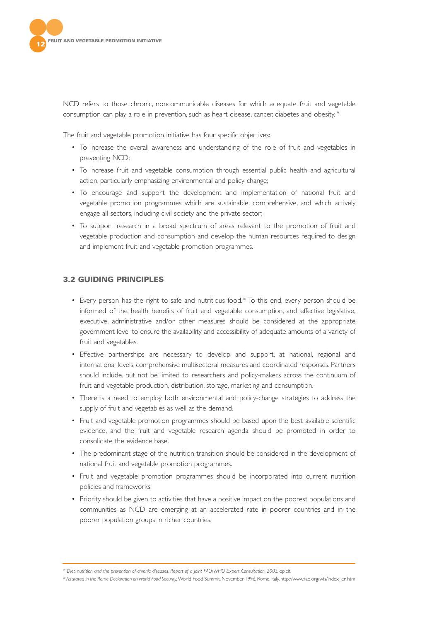

NCD refers to those chronic, noncommunicable diseases for which adequate fruit and vegetable consumption can play a role in prevention, such as heart disease, cancer, diabetes and obesity.<sup>19</sup>

The fruit and vegetable promotion initiative has four specific objectives:

- To increase the overall awareness and understanding of the role of fruit and vegetables in preventing NCD;
- To increase fruit and vegetable consumption through essential public health and agricultural action, particularly emphasizing environmental and policy change;
- To encourage and support the development and implementation of national fruit and vegetable promotion programmes which are sustainable, comprehensive, and which actively engage all sectors, including civil society and the private sector;
- To support research in a broad spectrum of areas relevant to the promotion of fruit and vegetable production and consumption and develop the human resources required to design and implement fruit and vegetable promotion programmes.

# **3.2 GUIDING PRINCIPLES**

- Every person has the right to safe and nutritious food.<sup>20</sup> To this end, every person should be informed of the health benefits of fruit and vegetable consumption, and effective legislative, executive, administrative and/or other measures should be considered at the appropriate government level to ensure the availability and accessibility of adequate amounts of a variety of fruit and vegetables.
- Effective partnerships are necessary to develop and support, at national, regional and international levels, comprehensive multisectoral measures and coordinated responses. Partners should include, but not be limited to, researchers and policy-makers across the continuum of fruit and vegetable production, distribution, storage, marketing and consumption.
- There is a need to employ both environmental and policy-change strategies to address the supply of fruit and vegetables as well as the demand.
- Fruit and vegetable promotion programmes should be based upon the best available scientific evidence, and the fruit and vegetable research agenda should be promoted in order to consolidate the evidence base.
- The predominant stage of the nutrition transition should be considered in the development of national fruit and vegetable promotion programmes.
- Fruit and vegetable promotion programmes should be incorporated into current nutrition policies and frameworks.
- Priority should be given to activities that have a positive impact on the poorest populations and communities as NCD are emerging at an accelerated rate in poorer countries and in the poorer population groups in richer countries.

<sup>19</sup> *Diet, nutrition and the prevention of chronic diseases. Report of a Joint FAO/WHO Expert Consultation. 2003,* op.cit.

*<sup>20</sup> As stated in the Rome Declaration on World Food Security,*World Food Summit, November 1996, Rome, Italy, http://www.fao.org/wfs/index\_en.htm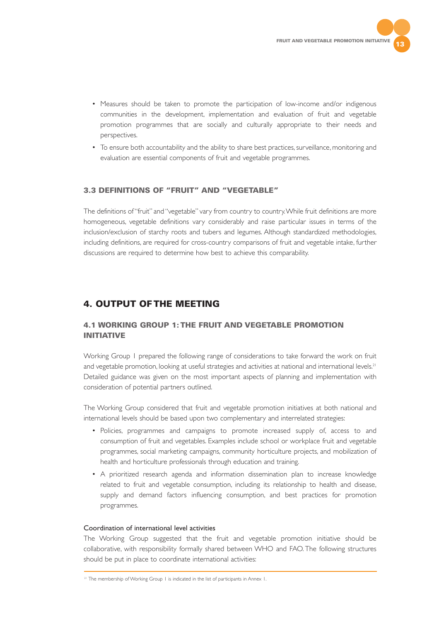

- Measures should be taken to promote the participation of low-income and/or indigenous communities in the development, implementation and evaluation of fruit and vegetable promotion programmes that are socially and culturally appropriate to their needs and perspectives.
- To ensure both accountability and the ability to share best practices, surveillance, monitoring and evaluation are essential components of fruit and vegetable programmes.

# **3.3 DEFINITIONS OF "FRUIT" AND "VEGETABLE"**

The definitions of "fruit" and "vegetable" vary from country to country.While fruit definitions are more homogeneous, vegetable definitions vary considerably and raise particular issues in terms of the inclusion/exclusion of starchy roots and tubers and legumes. Although standardized methodologies, including definitions, are required for cross-country comparisons of fruit and vegetable intake, further discussions are required to determine how best to achieve this comparability.

# **4. OUTPUT OF THE MEETING**

# **4.1 WORKING GROUP 1: THE FRUIT AND VEGETABLE PROMOTION INITIATIVE**

Working Group 1 prepared the following range of considerations to take forward the work on fruit and vegetable promotion, looking at useful strategies and activities at national and international levels.<sup>21</sup> Detailed guidance was given on the most important aspects of planning and implementation with consideration of potential partners outlined.

The Working Group considered that fruit and vegetable promotion initiatives at both national and international levels should be based upon two complementary and interrelated strategies:

- Policies, programmes and campaigns to promote increased supply of, access to and consumption of fruit and vegetables. Examples include school or workplace fruit and vegetable programmes, social marketing campaigns, community horticulture projects, and mobilization of health and horticulture professionals through education and training.
- A prioritized research agenda and information dissemination plan to increase knowledge related to fruit and vegetable consumption, including its relationship to health and disease, supply and demand factors influencing consumption, and best practices for promotion programmes.

#### Coordination of international level activities

The Working Group suggested that the fruit and vegetable promotion initiative should be collaborative, with responsibility formally shared between WHO and FAO. The following structures should be put in place to coordinate international activities:

<sup>&</sup>lt;sup>21</sup> The membership of Working Group 1 is indicated in the list of participants in Annex 1.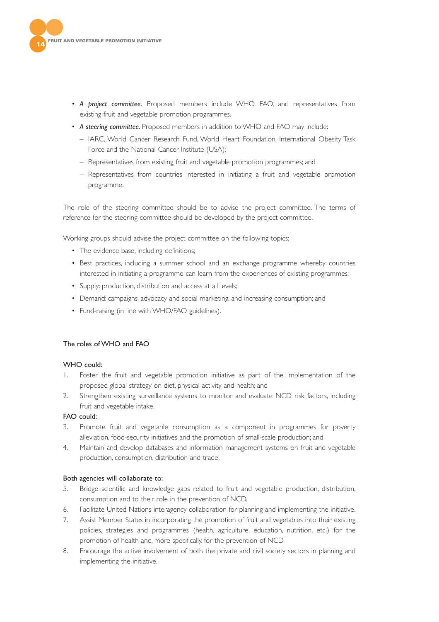

- *A project committee.* Proposed members include WHO, FAO, and representatives from existing fruit and vegetable promotion programmes.
- *A steering committee.* Proposed members in addition to WHO and FAO may include:
	- IARC, World Cancer Research Fund, World Heart Foundation, International Obesity Task Force and the National Cancer Institute (USA);
	- Representatives from existing fruit and vegetable promotion programmes; and
	- Representatives from countries interested in initiating a fruit and vegetable promotion programme.

The role of the steering committee should be to advise the project committee. The terms of reference for the steering committee should be developed by the project committee.

Working groups should advise the project committee on the following topics:

- The evidence base, including definitions:
- Best practices, including a summer school and an exchange programme whereby countries interested in initiating a programme can learn from the experiences of existing programmes;
- Supply: production, distribution and access at all levels;
- Demand: campaigns, advocacy and social marketing, and increasing consumption; and
- Fund-raising (in line with WHO/FAO guidelines).

# The roles of WHO and FAO

#### WHO could:

- 1. Foster the fruit and vegetable promotion initiative as part of the implementation of the proposed global strategy on diet, physical activity and health; and
- 2. Strengthen existing surveillance systems to monitor and evaluate NCD risk factors, including fruit and vegetable intake.

# FAO could:

- 3. Promote fruit and vegetable consumption as a component in programmes for poverty alleviation, food-security initiatives and the promotion of small-scale production; and
- 4. Maintain and develop databases and information management systems on fruit and vegetable production, consumption, distribution and trade.

#### Both agencies will collaborate to:

- 5. Bridge scientific and knowledge gaps related to fruit and vegetable production, distribution, consumption and to their role in the prevention of NCD.
- 6. Facilitate United Nations interagency collaboration for planning and implementing the initiative.
- 7. Assist Member States in incorporating the promotion of fruit and vegetables into their existing policies, strategies and programmes (health, agriculture, education, nutrition, etc.) for the promotion of health and, more specifically, for the prevention of NCD.
- 8. Encourage the active involvement of both the private and civil society sectors in planning and implementing the initiative.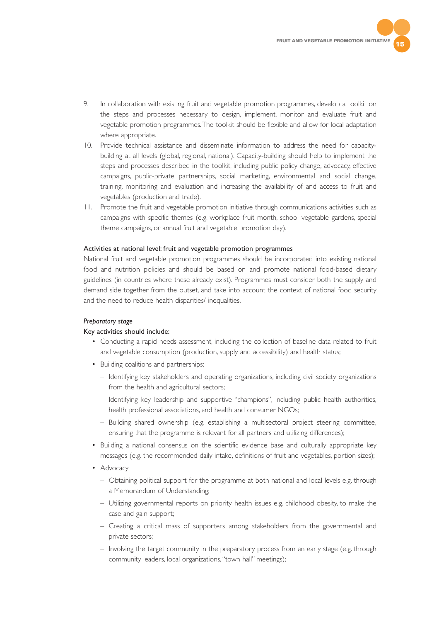- 9. In collaboration with existing fruit and vegetable promotion programmes, develop a toolkit on the steps and processes necessary to design, implement, monitor and evaluate fruit and vegetable promotion programmes.The toolkit should be flexible and allow for local adaptation where appropriate.
- 10. Provide technical assistance and disseminate information to address the need for capacitybuilding at all levels (global, regional, national). Capacity-building should help to implement the steps and processes described in the toolkit, including public policy change, advocacy, effective campaigns, public-private partnerships, social marketing, environmental and social change, training, monitoring and evaluation and increasing the availability of and access to fruit and vegetables (production and trade).
- 11. Promote the fruit and vegetable promotion initiative through communications activities such as campaigns with specific themes (e.g. workplace fruit month, school vegetable gardens, special theme campaigns, or annual fruit and vegetable promotion day).

#### Activities at national level: fruit and vegetable promotion programmes

National fruit and vegetable promotion programmes should be incorporated into existing national food and nutrition policies and should be based on and promote national food-based dietary guidelines (in countries where these already exist). Programmes must consider both the supply and demand side together from the outset, and take into account the context of national food security and the need to reduce health disparities/ inequalities.

#### *Preparatory stage*

#### Key activities should include:

- Conducting a rapid needs assessment, including the collection of baseline data related to fruit and vegetable consumption (production, supply and accessibility) and health status;
- Building coalitions and partnerships;
	- Identifying key stakeholders and operating organizations, including civil society organizations from the health and agricultural sectors;
	- Identifying key leadership and supportive "champions", including public health authorities, health professional associations, and health and consumer NGOs;
	- Building shared ownership (e.g. establishing a multisectoral project steering committee, ensuring that the programme is relevant for all partners and utilizing differences);
- Building a national consensus on the scientific evidence base and culturally appropriate key messages (e.g. the recommended daily intake, definitions of fruit and vegetables, portion sizes);
- Advocacy
	- Obtaining political support for the programme at both national and local levels e.g. through a Memorandum of Understanding;
	- Utilizing governmental reports on priority health issues e.g. childhood obesity, to make the case and gain support;
	- Creating a critical mass of supporters among stakeholders from the governmental and private sectors;
	- Involving the target community in the preparatory process from an early stage (e.g. through community leaders, local organizations,"town hall" meetings);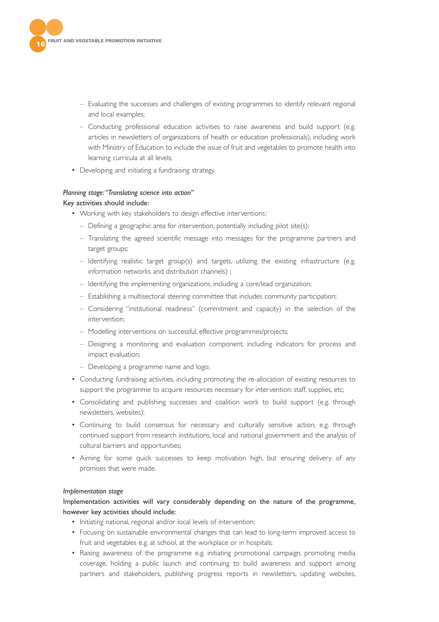

- Evaluating the successes and challenges of existing programmes to identify relevant regional and local examples;
- Conducting professional education activities to raise awareness and build support (e.g. articles in newsletters of organizations of health or education professionals), including work with Ministry of Education to include the issue of fruit and vegetables to promote health into learning curricula at all levels;
- Developing and initiating a fundraising strategy.

# *Planning stage:"Translating science into action"*

## Key activities should include:

- Working with key stakeholders to design effective interventions:
	- Defining a geographic area for intervention, potentially including pilot site(s);
	- Translating the agreed scientific message into messages for the programme partners and target groups;
	- Identifying realistic target group(s) and targets, utilizing the existing infrastructure (e.g. information networks and distribution channels) ;
	- Identifying the implementing organizations, including a core/lead organization;
	- Establishing a multisectoral steering committee that includes community participation;
	- Considering "institutional readiness" (commitment and capacity) in the selection of the intervention;
	- Modelling interventions on successful, effective programmes/projects;
	- Designing a monitoring and evaluation component, including indicators for process and impact evaluation;
	- Developing a programme name and logo;
- Conducting fundraising activities, including promoting the re-allocation of existing resources to support the programme to acquire resources necessary for intervention: staff, supplies, etc;
- Consolidating and publishing successes and coalition work to build support (e.g. through newsletters, websites);
- Continuing to build consensus for necessary and culturally sensitive action, e.g. through continued support from research institutions, local and national government and the analysis of cultural barriers and opportunities;
- Aiming for some quick successes to keep motivation high, but ensuring delivery of any promises that were made.

#### *Implementation stage*

# Implementation activities will vary considerably depending on the nature of the programme, however key activities should include:

- Initiating national, regional and/or local levels of intervention;
- Focusing on sustainable environmental changes that can lead to long-term improved access to fruit and vegetables e.g. at school, at the workplace or in hospitals;
- Raising awareness of the programme e.g. initiating promotional campaign, promoting media coverage, holding a public launch and continuing to build awareness and support among partners and stakeholders, publishing progress reports in newsletters, updating websites,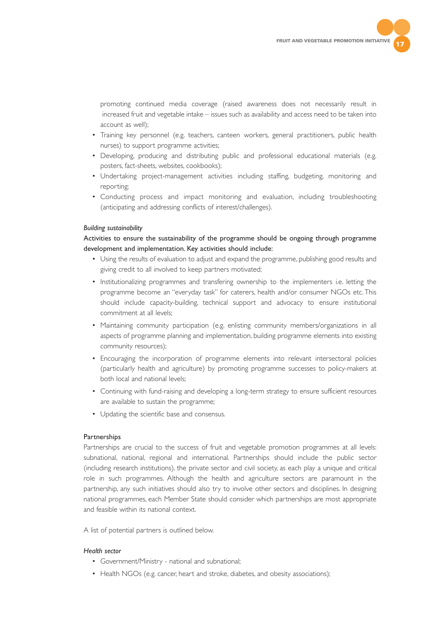

promoting continued media coverage (raised awareness does not necessarily result in increased fruit and vegetable intake – issues such as availability and access need to be taken into account as well);

- Training key personnel (e.g. teachers, canteen workers, general practitioners, public health nurses) to support programme activities;
- Developing, producing and distributing public and professional educational materials (e.g. posters, fact-sheets, websites, cookbooks);
- Undertaking project-management activities including staffing, budgeting, monitoring and reporting;
- Conducting process and impact monitoring and evaluation, including troubleshooting (anticipating and addressing conflicts of interest/challenges).

#### *Building sustainability*

Activities to ensure the sustainability of the programme should be ongoing through programme development and implementation. Key activities should include:

- Using the results of evaluation to adjust and expand the programme, publishing good results and giving credit to all involved to keep partners motivated;
- Institutionalizing programmes and transfering ownership to the implementers i.e. letting the programme become an "everyday task" for caterers, health and/or consumer NGOs etc. This should include capacity-building, technical support and advocacy to ensure institutional commitment at all levels;
- Maintaining community participation (e.g. enlisting community members/organizations in all aspects of programme planning and implementation, building programme elements into existing community resources);
- Encouraging the incorporation of programme elements into relevant intersectoral policies (particularly health and agriculture) by promoting programme successes to policy-makers at both local and national levels;
- Continuing with fund-raising and developing a long-term strategy to ensure sufficient resources are available to sustain the programme;
- Updating the scientific base and consensus.

#### **Partnerships**

Partnerships are crucial to the success of fruit and vegetable promotion programmes at all levels: subnational, national, regional and international. Partnerships should include the public sector (including research institutions), the private sector and civil society, as each play a unique and critical role in such programmes. Although the health and agriculture sectors are paramount in the partnership, any such initiatives should also try to involve other sectors and disciplines. In designing national programmes, each Member State should consider which partnerships are most appropriate and feasible within its national context.

A list of potential partners is outlined below.

#### *Health sector*

- Government/Ministry national and subnational;
- Health NGOs (e.g. cancer, heart and stroke, diabetes, and obesity associations);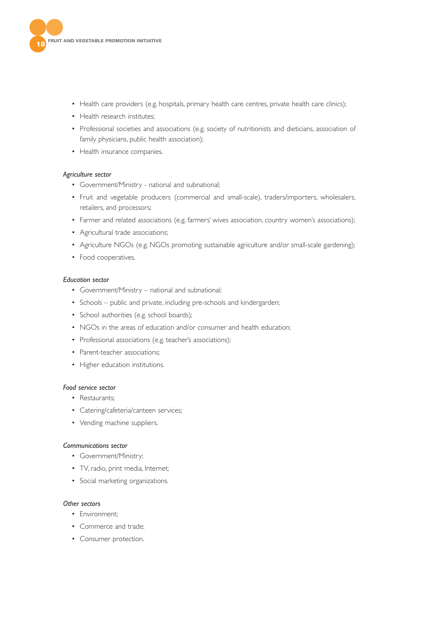

- Health care providers (e.g. hospitals, primary health care centres, private health care clinics);
- Health research institutes:
- Professional societies and associations (e.g. society of nutritionists and dieticians, association of family physicians, public health association);
- Health insurance companies.

#### *Agriculture sector*

- Government/Ministry national and subnational;
- Fruit and vegetable producers (commercial and small-scale), traders/importers, wholesalers, retailers, and processors;
- Farmer and related associations (e.g. farmers' wives association, country women's associations);
- Agricultural trade associations;
- Agriculture NGOs (e.g. NGOs promoting sustainable agriculture and/or small-scale gardening);
- Food cooperatives.

#### *Education sector*

- Government/Ministry national and subnational;
- Schools public and private, including pre-schools and kindergarden;
- School authorities (e.g. school boards);
- NGOs in the areas of education and/or consumer and health education;
- Professional associations (e.g. teacher's associations);
- Parent-teacher associations;
- Higher education institutions.

#### *Food service sector*

- Restaurants;
- Catering/cafeteria/canteen services;
- Vending machine suppliers.

#### *Communications sector*

- Government/Ministry;
- TV, radio, print media, Internet;
- Social marketing organizations.

#### *Other sectors*

- Environment;
- Commerce and trade;
- Consumer protection.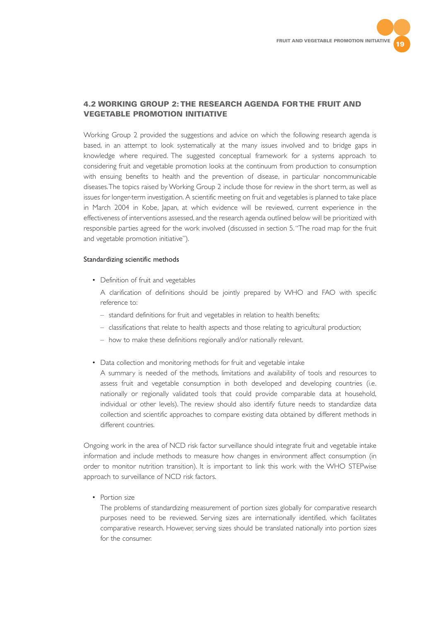

# **4.2 WORKING GROUP 2: THE RESEARCH AGENDA FOR THE FRUIT AND VEGETABLE PROMOTION INITIATIVE**

Working Group 2 provided the suggestions and advice on which the following research agenda is based, in an attempt to look systematically at the many issues involved and to bridge gaps in knowledge where required. The suggested conceptual framework for a systems approach to considering fruit and vegetable promotion looks at the continuum from production to consumption with ensuing benefits to health and the prevention of disease, in particular noncommunicable diseases.The topics raised by Working Group 2 include those for review in the short term, as well as issues for longer-term investigation. A scientific meeting on fruit and vegetables is planned to take place in March 2004 in Kobe, Japan, at which evidence will be reviewed, current experience in the effectiveness of interventions assessed, and the research agenda outlined below will be prioritized with responsible parties agreed for the work involved (discussed in section 5."The road map for the fruit and vegetable promotion initiative").

#### Standardizing scientific methods

• Definition of fruit and vegetables

A clarification of definitions should be jointly prepared by WHO and FAO with specific reference to:

- standard definitions for fruit and vegetables in relation to health benefits;
- classifications that relate to health aspects and those relating to agricultural production;
- how to make these definitions regionally and/or nationally relevant.
- Data collection and monitoring methods for fruit and vegetable intake

A summary is needed of the methods, limitations and availability of tools and resources to assess fruit and vegetable consumption in both developed and developing countries (i.e. nationally or regionally validated tools that could provide comparable data at household, individual or other levels). The review should also identify future needs to standardize data collection and scientific approaches to compare existing data obtained by different methods in different countries.

Ongoing work in the area of NCD risk factor surveillance should integrate fruit and vegetable intake information and include methods to measure how changes in environment affect consumption (in order to monitor nutrition transition). It is important to link this work with the WHO STEPwise approach to surveillance of NCD risk factors.

• Portion size

The problems of standardizing measurement of portion sizes globally for comparative research purposes need to be reviewed. Serving sizes are internationally identified, which facilitates comparative research. However, serving sizes should be translated nationally into portion sizes for the consumer.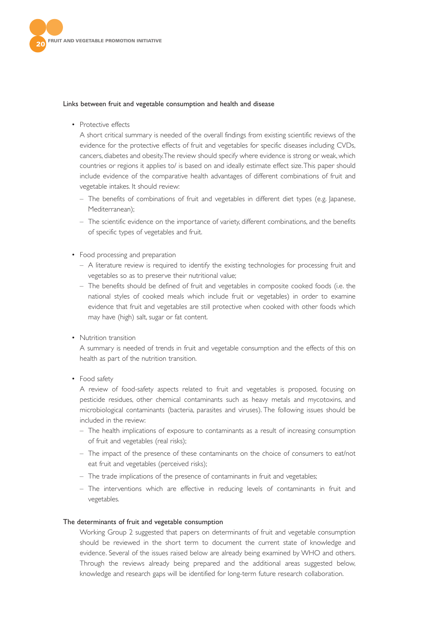

#### Links between fruit and vegetable consumption and health and disease

• Protective effects

A short critical summary is needed of the overall findings from existing scientific reviews of the evidence for the protective effects of fruit and vegetables for specific diseases including CVDs, cancers, diabetes and obesity.The review should specify where evidence is strong or weak, which countries or regions it applies to/ is based on and ideally estimate effect size.This paper should include evidence of the comparative health advantages of different combinations of fruit and vegetable intakes. It should review:

- The benefits of combinations of fruit and vegetables in different diet types (e.g. Japanese, Mediterranean);
- The scientific evidence on the importance of variety, different combinations, and the benefits of specific types of vegetables and fruit.
- Food processing and preparation
	- A literature review is required to identify the existing technologies for processing fruit and vegetables so as to preserve their nutritional value;
	- The benefits should be defined of fruit and vegetables in composite cooked foods (i.e. the national styles of cooked meals which include fruit or vegetables) in order to examine evidence that fruit and vegetables are still protective when cooked with other foods which may have (high) salt, sugar or fat content.
- Nutrition transition

A summary is needed of trends in fruit and vegetable consumption and the effects of this on health as part of the nutrition transition.

• Food safety

A review of food-safety aspects related to fruit and vegetables is proposed, focusing on pesticide residues, other chemical contaminants such as heavy metals and mycotoxins, and microbiological contaminants (bacteria, parasites and viruses). The following issues should be included in the review:

- The health implications of exposure to contaminants as a result of increasing consumption of fruit and vegetables (real risks);
- The impact of the presence of these contaminants on the choice of consumers to eat/not eat fruit and vegetables (perceived risks);
- The trade implications of the presence of contaminants in fruit and vegetables;
- The interventions which are effective in reducing levels of contaminants in fruit and vegetables.

#### The determinants of fruit and vegetable consumption

Working Group 2 suggested that papers on determinants of fruit and vegetable consumption should be reviewed in the short term to document the current state of knowledge and evidence. Several of the issues raised below are already being examined by WHO and others. Through the reviews already being prepared and the additional areas suggested below, knowledge and research gaps will be identified for long-term future research collaboration.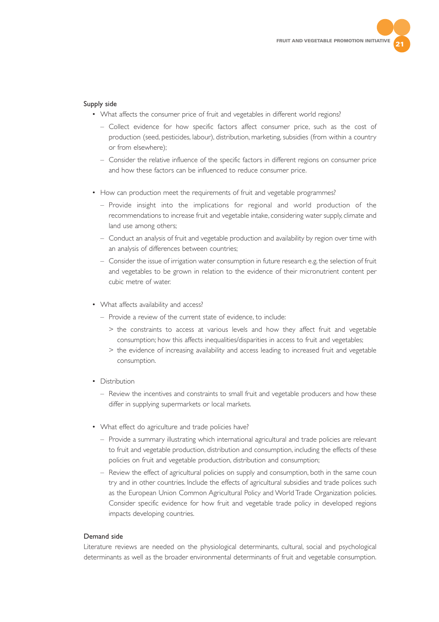

#### Supply side

- What affects the consumer price of fruit and vegetables in different world regions?
	- Collect evidence for how specific factors affect consumer price, such as the cost of production (seed, pesticides, labour), distribution, marketing, subsidies (from within a country or from elsewhere);
	- Consider the relative influence of the specific factors in different regions on consumer price and how these factors can be influenced to reduce consumer price.
- How can production meet the requirements of fruit and vegetable programmes?
	- Provide insight into the implications for regional and world production of the recommendations to increase fruit and vegetable intake, considering water supply, climate and land use among others;
	- Conduct an analysis of fruit and vegetable production and availability by region over time with an analysis of differences between countries;
	- Consider the issue of irrigation water consumption in future research e.g. the selection of fruit and vegetables to be grown in relation to the evidence of their micronutrient content per cubic metre of water.
- What affects availability and access?
	- Provide a review of the current state of evidence, to include:
		- > the constraints to access at various levels and how they affect fruit and vegetable consumption; how this affects inequalities/disparities in access to fruit and vegetables;
		- > the evidence of increasing availability and access leading to increased fruit and vegetable consumption.
- Distribution
	- Review the incentives and constraints to small fruit and vegetable producers and how these differ in supplying supermarkets or local markets.
- What effect do agriculture and trade policies have?
	- Provide a summary illustrating which international agricultural and trade policies are relevant to fruit and vegetable production, distribution and consumption, including the effects of these policies on fruit and vegetable production, distribution and consumption;
	- Review the effect of agricultural policies on supply and consumption, both in the same coun try and in other countries. Include the effects of agricultural subsidies and trade polices such as the European Union Common Agricultural Policy and World Trade Organization policies. Consider specific evidence for how fruit and vegetable trade policy in developed regions impacts developing countries.

#### Demand side

Literature reviews are needed on the physiological determinants, cultural, social and psychological determinants as well as the broader environmental determinants of fruit and vegetable consumption.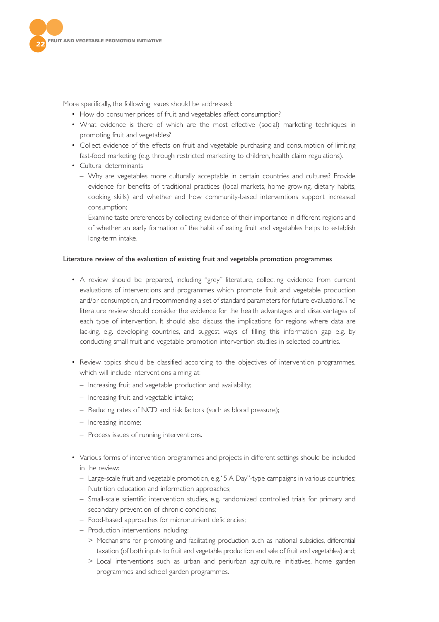

More specifically, the following issues should be addressed:

- How do consumer prices of fruit and vegetables affect consumption?
- What evidence is there of which are the most effective (social) marketing techniques in promoting fruit and vegetables?
- Collect evidence of the effects on fruit and vegetable purchasing and consumption of limiting fast-food marketing (e.g. through restricted marketing to children, health claim regulations).
- Cultural determinants
	- Why are vegetables more culturally acceptable in certain countries and cultures? Provide evidence for benefits of traditional practices (local markets, home growing, dietary habits, cooking skills) and whether and how community-based interventions support increased consumption;
	- Examine taste preferences by collecting evidence of their importance in different regions and of whether an early formation of the habit of eating fruit and vegetables helps to establish long-term intake.

#### Literature review of the evaluation of existing fruit and vegetable promotion programmes

- A review should be prepared, including "grey" literature, collecting evidence from current evaluations of interventions and programmes which promote fruit and vegetable production and/or consumption, and recommending a set of standard parameters for future evaluations.The literature review should consider the evidence for the health advantages and disadvantages of each type of intervention. It should also discuss the implications for regions where data are lacking, e.g. developing countries, and suggest ways of filling this information gap e.g. by conducting small fruit and vegetable promotion intervention studies in selected countries.
- Review topics should be classified according to the objectives of intervention programmes, which will include interventions aiming at:
	- Increasing fruit and vegetable production and availability;
	- Increasing fruit and vegetable intake;
	- Reducing rates of NCD and risk factors (such as blood pressure);
	- Increasing income;
	- Process issues of running interventions.
- Various forms of intervention programmes and projects in different settings should be included in the review:
	- Large-scale fruit and vegetable promotion, e.g."5 A Day"-type campaigns in various countries;
	- Nutrition education and information approaches;
	- Small-scale scientific intervention studies, e.g. randomized controlled trials for primary and secondary prevention of chronic conditions;
	- Food-based approaches for micronutrient deficiencies;
	- Production interventions including:
		- > Mechanisms for promoting and facilitating production such as national subsidies, differential taxation (of both inputs to fruit and vegetable production and sale of fruit and vegetables) and;
		- > Local interventions such as urban and periurban agriculture initiatives, home garden programmes and school garden programmes.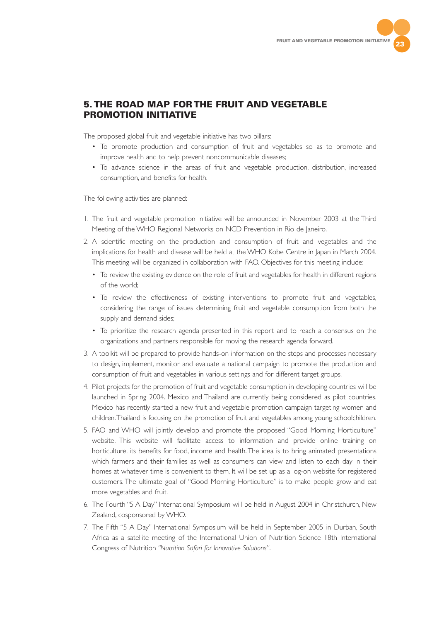

# **5. THE ROAD MAP FOR THE FRUIT AND VEGETABLE PROMOTION INITIATIVE**

The proposed global fruit and vegetable initiative has two pillars:

- To promote production and consumption of fruit and vegetables so as to promote and improve health and to help prevent noncommunicable diseases;
- To advance science in the areas of fruit and vegetable production, distribution, increased consumption, and benefits for health.

The following activities are planned:

- 1. The fruit and vegetable promotion initiative will be announced in November 2003 at the Third Meeting of the WHO Regional Networks on NCD Prevention in Rio de Janeiro.
- 2. A scientific meeting on the production and consumption of fruit and vegetables and the implications for health and disease will be held at the WHO Kobe Centre in Japan in March 2004. This meeting will be organized in collaboration with FAO. Objectives for this meeting include:
	- To review the existing evidence on the role of fruit and vegetables for health in different regions of the world;
	- To review the effectiveness of existing interventions to promote fruit and vegetables, considering the range of issues determining fruit and vegetable consumption from both the supply and demand sides;
	- To prioritize the research agenda presented in this report and to reach a consensus on the organizations and partners responsible for moving the research agenda forward.
- 3. A toolkit will be prepared to provide hands-on information on the steps and processes necessary to design, implement, monitor and evaluate a national campaign to promote the production and consumption of fruit and vegetables in various settings and for different target groups.
- 4. Pilot projects for the promotion of fruit and vegetable consumption in developing countries will be launched in Spring 2004. Mexico and Thailand are currently being considered as pilot countries. Mexico has recently started a new fruit and vegetable promotion campaign targeting women and children.Thailand is focusing on the promotion of fruit and vegetables among young schoolchildren.
- 5. FAO and WHO will jointly develop and promote the proposed "Good Morning Horticulture" website. This website will facilitate access to information and provide online training on horticulture, its benefits for food, income and health.The idea is to bring animated presentations which farmers and their families as well as consumers can view and listen to each day in their homes at whatever time is convenient to them. It will be set up as a log-on website for registered customers. The ultimate goal of "Good Morning Horticulture" is to make people grow and eat more vegetables and fruit.
- 6. The Fourth "5 A Day" International Symposium will be held in August 2004 in Christchurch, New Zealand, cosponsored by WHO.
- 7. The Fifth "5 A Day" International Symposium will be held in September 2005 in Durban, South Africa as a satellite meeting of the International Union of Nutrition Science 18th International Congress of Nutrition *"Nutrition Safari for Innovative Solutions"*.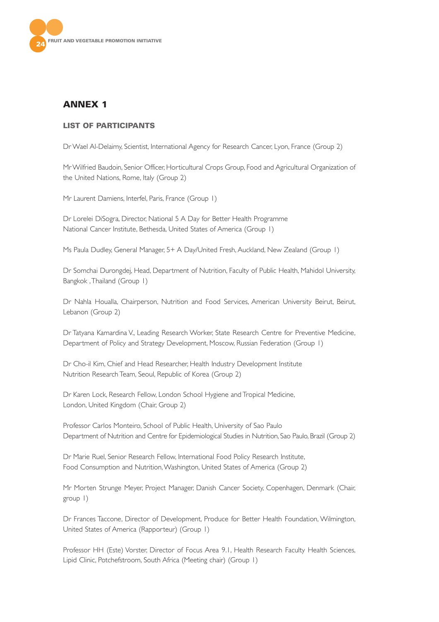

# **ANNEX 1**

# **LIST OF PARTICIPANTS**

Dr Wael Al-Delaimy, Scientist, International Agency for Research Cancer, Lyon, France (Group 2)

Mr Wilfried Baudoin, Senior Officer, Horticultural Crops Group, Food and Agricultural Organization of the United Nations, Rome, Italy (Group 2)

Mr Laurent Damiens, Interfel, Paris, France (Group 1)

Dr Lorelei DiSogra, Director, National 5 A Day for Better Health Programme National Cancer Institute, Bethesda, United States of America (Group 1)

Ms Paula Dudley, General Manager, 5+ A Day/United Fresh, Auckland, New Zealand (Group 1)

Dr Somchai Durongdej, Head, Department of Nutrition, Faculty of Public Health, Mahidol University, Bangkok ,Thailand (Group 1)

Dr Nahla Houalla, Chairperson, Nutrition and Food Services, American University Beirut, Beirut, Lebanon (Group 2)

Dr Tatyana Kamardina V., Leading Research Worker, State Research Centre for Preventive Medicine, Department of Policy and Strategy Development, Moscow, Russian Federation (Group 1)

Dr Cho-il Kim, Chief and Head Researcher, Health Industry Development Institute Nutrition Research Team, Seoul, Republic of Korea (Group 2)

Dr Karen Lock, Research Fellow, London School Hygiene and Tropical Medicine, London, United Kingdom (Chair, Group 2)

Professor Carlos Monteiro, School of Public Health, University of Sao Paulo Department of Nutrition and Centre for Epidemiological Studies in Nutrition, Sao Paulo, Brazil (Group 2)

Dr Marie Ruel, Senior Research Fellow, International Food Policy Research Institute, Food Consumption and Nutrition,Washington, United States of America (Group 2)

Mr Morten Strunge Meyer, Project Manager, Danish Cancer Society, Copenhagen, Denmark (Chair, group 1)

Dr Frances Taccone, Director of Development, Produce for Better Health Foundation, Wilmington, United States of America (Rapporteur) (Group 1)

Professor HH (Este) Vorster, Director of Focus Area 9.1, Health Research Faculty Health Sciences, Lipid Clinic, Potchefstroom, South Africa (Meeting chair) (Group 1)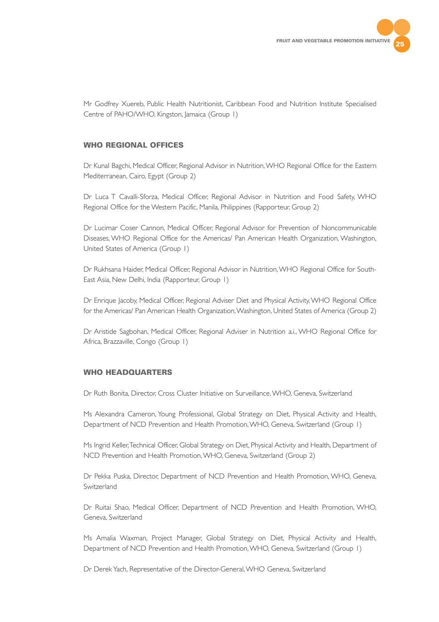

Mr Godfrey Xuereb, Public Health Nutritionist, Caribbean Food and Nutrition Institute Specialised Centre of PAHO/WHO, Kingston, Jamaica (Group 1)

## **WHO REGIONAL OFFICES**

Dr Kunal Bagchi, Medical Officer, Regional Advisor in Nutrition,WHO Regional Office for the Eastern Mediterranean, Cairo, Egypt (Group 2)

Dr Luca T Cavalli-Sforza, Medical Officer, Regional Advisor in Nutrition and Food Safety, WHO Regional Office for the Western Pacific, Manila, Philippines (Rapporteur, Group 2)

Dr Lucimar Coser Cannon, Medical Officer, Regional Advisor for Prevention of Noncommunicable Diseases, WHO Regional Office for the Americas/ Pan American Health Organization, Washington, United States of America (Group 1)

Dr Rukhsana Haider, Medical Officer, Regional Advisor in Nutrition,WHO Regional Office for South-East Asia, New Delhi, India (Rapporteur, Group 1)

Dr Enrique Jacoby, Medical Officer, Regional Adviser Diet and Physical Activity, WHO Regional Office for the Americas/ Pan American Health Organization,Washington, United States of America (Group 2)

Dr Aristide Sagbohan, Medical Officer, Regional Adviser in Nutrition a.i., WHO Regional Office for Africa, Brazzaville, Congo (Group 1)

# **WHO HEADQUARTERS**

Dr Ruth Bonita, Director, Cross Cluster Initiative on Surveillance,WHO, Geneva, Switzerland

Ms Alexandra Cameron, Young Professional, Global Strategy on Diet, Physical Activity and Health, Department of NCD Prevention and Health Promotion,WHO, Geneva, Switzerland (Group 1)

Ms Ingrid Keller,Technical Officer, Global Strategy on Diet, Physical Activity and Health, Department of NCD Prevention and Health Promotion,WHO, Geneva, Switzerland (Group 2)

Dr Pekka Puska, Director, Department of NCD Prevention and Health Promotion, WHO, Geneva, Switzerland

Dr Ruitai Shao, Medical Officer, Department of NCD Prevention and Health Promotion, WHO, Geneva, Switzerland

Ms Amalia Waxman, Project Manager, Global Strategy on Diet, Physical Activity and Health, Department of NCD Prevention and Health Promotion,WHO, Geneva, Switzerland (Group 1)

Dr Derek Yach, Representative of the Director-General,WHO Geneva, Switzerland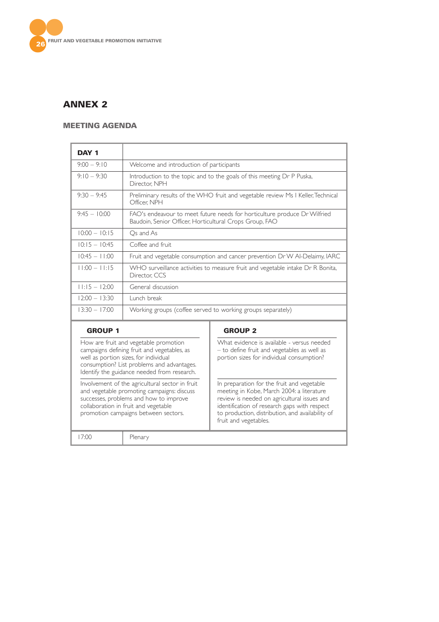

# **ANNEX 2**

# **MEETING AGENDA**

| DAY <sub>1</sub>                                                                                                                                                                                                           |                                                                                                                                      |                                                                                                                                                                                                                                                                     |  |
|----------------------------------------------------------------------------------------------------------------------------------------------------------------------------------------------------------------------------|--------------------------------------------------------------------------------------------------------------------------------------|---------------------------------------------------------------------------------------------------------------------------------------------------------------------------------------------------------------------------------------------------------------------|--|
| $9:00 - 9:10$                                                                                                                                                                                                              | Welcome and introduction of participants                                                                                             |                                                                                                                                                                                                                                                                     |  |
| $9:10 - 9:30$                                                                                                                                                                                                              | Introduction to the topic and to the goals of this meeting Dr P Puska,<br>Director: NPH                                              |                                                                                                                                                                                                                                                                     |  |
| $9:30 - 9:45$                                                                                                                                                                                                              | Preliminary results of the WHO fruit and vegetable review Ms I Keller, Technical<br>Officer. NPH                                     |                                                                                                                                                                                                                                                                     |  |
| $9:45 - 10:00$                                                                                                                                                                                                             | FAO's endeavour to meet future needs for horticulture produce Dr Wilfried<br>Baudoin, Senior Officer, Horticultural Crops Group, FAO |                                                                                                                                                                                                                                                                     |  |
| $10:00 - 10:15$                                                                                                                                                                                                            | Os and As                                                                                                                            |                                                                                                                                                                                                                                                                     |  |
| $10:15 - 10:45$                                                                                                                                                                                                            | Coffee and fruit.                                                                                                                    |                                                                                                                                                                                                                                                                     |  |
| $10:45 - 11:00$                                                                                                                                                                                                            | Fruit and vegetable consumption and cancer prevention Dr W Al-Delaimy, IARC                                                          |                                                                                                                                                                                                                                                                     |  |
| $11:00 - 11:15$                                                                                                                                                                                                            | WHO surveillance activities to measure fruit and vegetable intake Dr R Bonita,<br>Director, CCS                                      |                                                                                                                                                                                                                                                                     |  |
| $11:15 - 12:00$<br>General discussion                                                                                                                                                                                      |                                                                                                                                      |                                                                                                                                                                                                                                                                     |  |
| $12:00 - 13:30$<br>Lunch break                                                                                                                                                                                             |                                                                                                                                      |                                                                                                                                                                                                                                                                     |  |
| $13:30 - 17:00$                                                                                                                                                                                                            |                                                                                                                                      | Working groups (coffee served to working groups separately)                                                                                                                                                                                                         |  |
| <b>GROUP 1</b>                                                                                                                                                                                                             |                                                                                                                                      | <b>GROUP 2</b>                                                                                                                                                                                                                                                      |  |
| How are fruit and vegetable promotion<br>campaigns defining fruit and vegetables, as<br>well as portion sizes, for individual<br>consumption? List problems and advantages.<br>Identify the guidance needed from research. |                                                                                                                                      | What evidence is available - versus needed<br>- to define fruit and vegetables as well as<br>portion sizes for individual consumption?                                                                                                                              |  |
| Involvement of the agricultural sector in fruit<br>and vegetable promoting campaigns: discuss<br>successes, problems and how to improve<br>collaboration in fruit and vegetable<br>promotion campaigns between sectors.    |                                                                                                                                      | In preparation for the fruit and vegetable<br>meeting in Kobe, March 2004: a literature<br>review is needed on agricultural issues and<br>identification of research gaps with respect<br>to production, distribution, and availability of<br>fruit and vegetables. |  |
| 17:00                                                                                                                                                                                                                      | Plenary                                                                                                                              |                                                                                                                                                                                                                                                                     |  |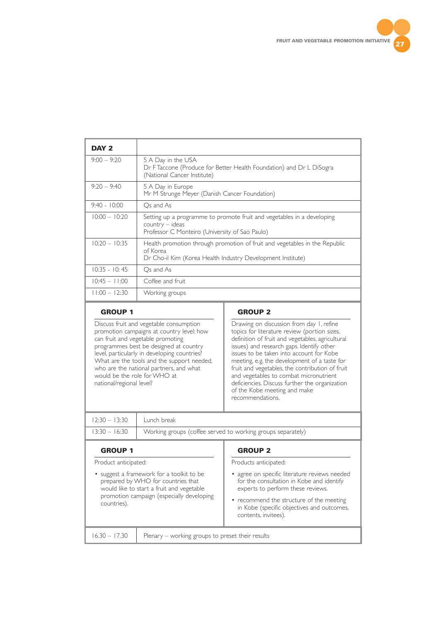

| DAY <sub>2</sub> |                                                                                                                                                       |
|------------------|-------------------------------------------------------------------------------------------------------------------------------------------------------|
| $9:00 - 9:20$    | 5 A Day in the USA<br>Dr F Taccone (Produce for Better Health Foundation) and Dr L DiSogra<br>(National Cancer Institute)                             |
| $9:20 - 9:40$    | 5 A Day in Europe<br>Mr M Strunge Meyer (Danish Cancer Foundation)                                                                                    |
| $9:40 - 10:00$   | Os and As                                                                                                                                             |
| $10:00 - 10:20$  | Setting up a programme to promote fruit and vegetables in a developing<br>$country - ideas$<br>Professor C Monteiro (University of Sao Paulo)         |
| $10:20 - 10:35$  | Health promotion through promotion of fruit and vegetables in the Republic<br>of Korea<br>Dr Cho-il Kim (Korea Health Industry Development Institute) |
| $10:35 - 10:45$  | Os and As                                                                                                                                             |
| $10:45 - 1:00$   | Coffee and fruit                                                                                                                                      |
| $11:00 - 12:30$  | Working groups                                                                                                                                        |

# **GROUP 1**

Discuss fruit and vegetable consumption promotion campaigns at country level: how can fruit and vegetable promoting programmes best be designed at country level, particularly in developing countries? What are the tools and the support needed, who are the national partners, and what would be the role for WHO at national/regional level?

# **GROUP 2**

Drawing on discussion from day 1, refine topics for literature review (portion sizes, definition of fruit and vegetables, agricultural issues) and research gaps. Identify other issues to be taken into account for Kobe meeting, e.g. the development of a taste for fruit and vegetables, the contribution of fruit and vegetables to combat micronutrient deficiencies. Discuss further the organization of the Kobe meeting and make recommendations.

| $12:30 - 13:30$ Lunch break |                                                                             |  |
|-----------------------------|-----------------------------------------------------------------------------|--|
|                             | 13:30 – 16:30   Working groups (coffee served to working groups separately) |  |
|                             |                                                                             |  |

#### **GROUP 1**

Product anticipated:

• suggest a framework for a toolkit to be prepared by WHO for countries that would like to start a fruit and vegetable promotion campaign (especially developing countries).

## **GROUP 2**

Products anticipated:

- agree on specific literature reviews needed for the consultation in Kobe and identify experts to perform these reviews.
- recommend the structure of the meeting in Kobe (specific objectives and outcomes, contents, invitees).

16.30 – 17.30 Plenary – working groups to preset their results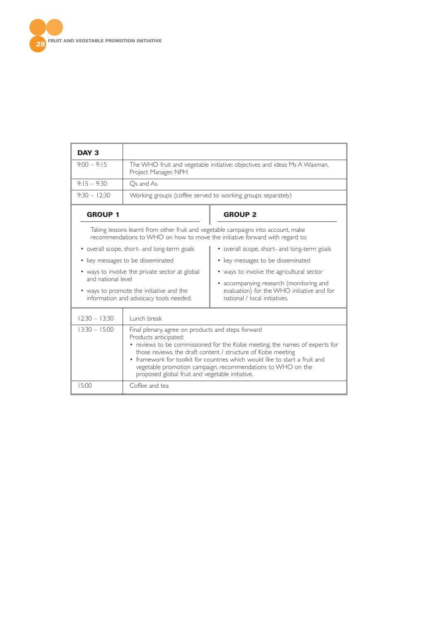

| DAY <sub>3</sub>                                                                                         |                                                                                                                                                                                                                                                                                                                                                                                                                             |                                                                                                                        |  |
|----------------------------------------------------------------------------------------------------------|-----------------------------------------------------------------------------------------------------------------------------------------------------------------------------------------------------------------------------------------------------------------------------------------------------------------------------------------------------------------------------------------------------------------------------|------------------------------------------------------------------------------------------------------------------------|--|
| $9:00 - 9:15$                                                                                            | The WHO fruit and vegetable initiative: objectives and ideas Ms A Waxman,<br>Project Manager, NPH                                                                                                                                                                                                                                                                                                                           |                                                                                                                        |  |
| $9:15 - 9:30$                                                                                            | Os and As                                                                                                                                                                                                                                                                                                                                                                                                                   |                                                                                                                        |  |
| $9:30 - 12:30$                                                                                           |                                                                                                                                                                                                                                                                                                                                                                                                                             | Working groups (coffee served to working groups separately)                                                            |  |
| <b>GROUP 1</b>                                                                                           |                                                                                                                                                                                                                                                                                                                                                                                                                             | <b>GROUP 2</b>                                                                                                         |  |
|                                                                                                          | Taking lessons learnt from other fruit and vegetable campaigns into account, make<br>recommendations to WHO on how to move the initiative forward with regard to:                                                                                                                                                                                                                                                           |                                                                                                                        |  |
| • overall scope, short- and long-term goals                                                              |                                                                                                                                                                                                                                                                                                                                                                                                                             | • overall scope, short- and long-term goals                                                                            |  |
|                                                                                                          | • key messages to be disseminated                                                                                                                                                                                                                                                                                                                                                                                           | • key messages to be disseminated                                                                                      |  |
| • ways to involve the private sector at global                                                           |                                                                                                                                                                                                                                                                                                                                                                                                                             | • ways to involve the agricultural sector                                                                              |  |
| and national level<br>• ways to promote the initiative and the<br>information and advocacy tools needed. |                                                                                                                                                                                                                                                                                                                                                                                                                             | • accompanying research (monitoring and<br>evaluation) for the WHO initiative and for<br>national / local initiatives. |  |
| $12:30 - 13:30$                                                                                          | Lunch break                                                                                                                                                                                                                                                                                                                                                                                                                 |                                                                                                                        |  |
| $13:30 - 15:00$                                                                                          | Final plenary, agree on products and steps forward<br>Products anticipated:<br>• reviews to be commissioned for the Kobe meeting, the names of experts for<br>those reviews, the draft content / structure of Kobe meeting<br>• framework for toolkit for countries which would like to start a fruit and<br>vegetable promotion campaign, recommendations to WHO on the<br>proposed global fruit and vegetable initiative. |                                                                                                                        |  |
| 15:00                                                                                                    | Coffee and tea                                                                                                                                                                                                                                                                                                                                                                                                              |                                                                                                                        |  |